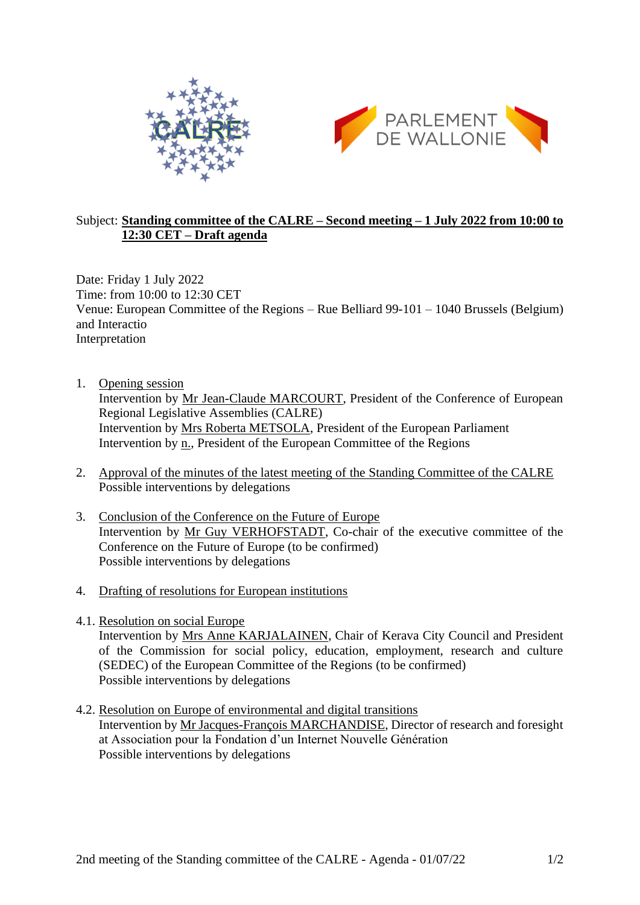



## Subject: **Standing committee of the CALRE – Second meeting – 1 July 2022 from 10:00 to 12:30 CET – Draft agenda**

Date: Friday 1 July 2022 Time: from 10:00 to 12:30 CET Venue: European Committee of the Regions – Rue Belliard 99-101 – 1040 Brussels (Belgium) and Interactio Interpretation

- 1. Opening session Intervention by [Mr Jean-Claude MARCOURT,](https://www.calrenet.eu/presidency/) President of the Conference of European Regional Legislative Assemblies (CALRE) Intervention by Mrs [Roberta METSOLA,](https://the-president.europarl.europa.eu/) President of the European Parliament Intervention by [n.,](https://cor.europa.eu/) President of the European Committee of the Regions
- 2. Approval of the minutes of the latest meeting of the Standing Committee of the CALRE Possible interventions by delegations
- 3. Conclusion of the Conference on the Future of Europe Intervention by Mr [Guy VERHOFSTADT,](https://www.europarl.europa.eu/meps/en/97058/GUY_VERHOFSTADT/home) Co-chair of the executive committee of the Conference on the Future of Europe (to be confirmed) Possible interventions by delegations
- 4. Drafting of resolutions for European institutions
- 4.1. Resolution on social Europe

Intervention by Mrs [Anne KARJALAINEN,](https://cor.europa.eu/en/members/Pages/memberprofile.aspx?MemberId=2024977) Chair of Kerava City Council and President of the Commission for social policy, education, employment, research and culture (SEDEC) of the European Committee of the Regions (to be confirmed) Possible interventions by delegations

4.2. Resolution on Europe of environmental and digital transitions Intervention by [Mr Jacques-François MARCHANDISE,](https://fing.org/team/jacques-francois-marchandise/) Director of research and foresight at Association pour la Fondation d'un Internet Nouvelle Génération Possible interventions by delegations